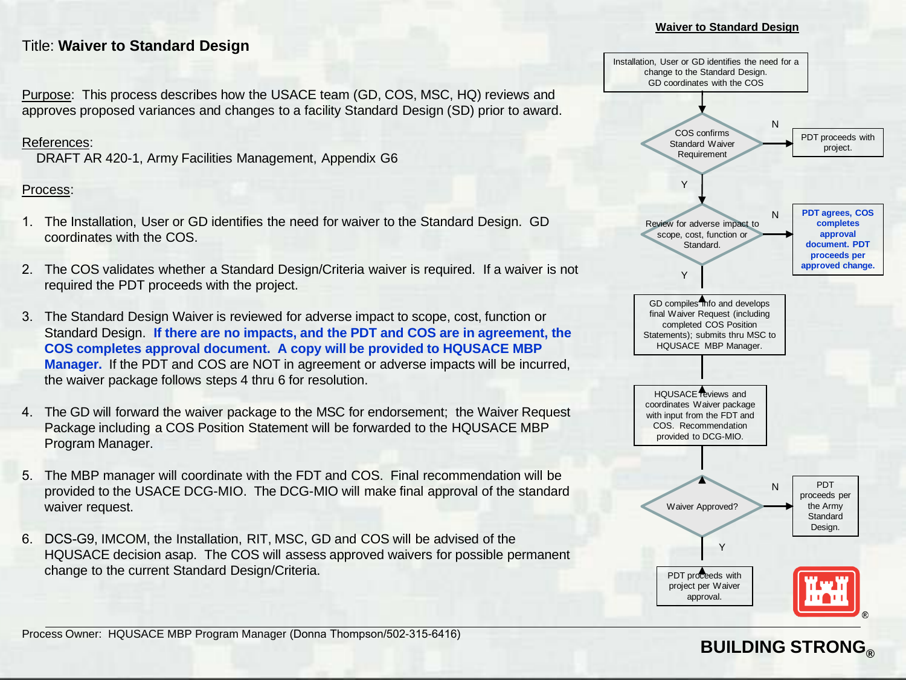## Title: **Waiver to Standard Design**

Purpose: This process describes how the USACE team (GD, COS, MSC, HQ) reviews and approves proposed variances and changes to a facility Standard Design (SD) prior to award.

#### References:

DRAFT AR 420-1, Army Facilities Management, Appendix G6

### Process:

- 1. The Installation, User or GD identifies the need for waiver to the Standard Design. GD coordinates with the COS.
- 2. The COS validates whether a Standard Design/Criteria waiver is required. If a waiver is not required the PDT proceeds with the project.
- 3. The Standard Design Waiver is reviewed for adverse impact to scope, cost, function or Standard Design. **If there are no impacts, and the PDT and COS are in agreement, the COS completes approval document. A copy will be provided to HQUSACE MBP Manager.** If the PDT and COS are NOT in agreement or adverse impacts will be incurred, the waiver package follows steps 4 thru 6 for resolution.
- 4. The GD will forward the waiver package to the MSC for endorsement; the Waiver Request Package including a COS Position Statement will be forwarded to the HQUSACE MBP Program Manager.
- 5. The MBP manager will coordinate with the FDT and COS. Final recommendation will be provided to the USACE DCG-MIO. The DCG-MIO will make final approval of the standard waiver request.
- 6. DCS-G9, IMCOM, the Installation, RIT, MSC, GD and COS will be advised of the HQUSACE decision asap. The COS will assess approved waivers for possible permanent change to the current Standard Design/Criteria.



**Waiver to Standard Design** 

## **BUILDING STRONG®**

Process Owner: HQUSACE MBP Program Manager (Donna Thompson/502-315-6416)